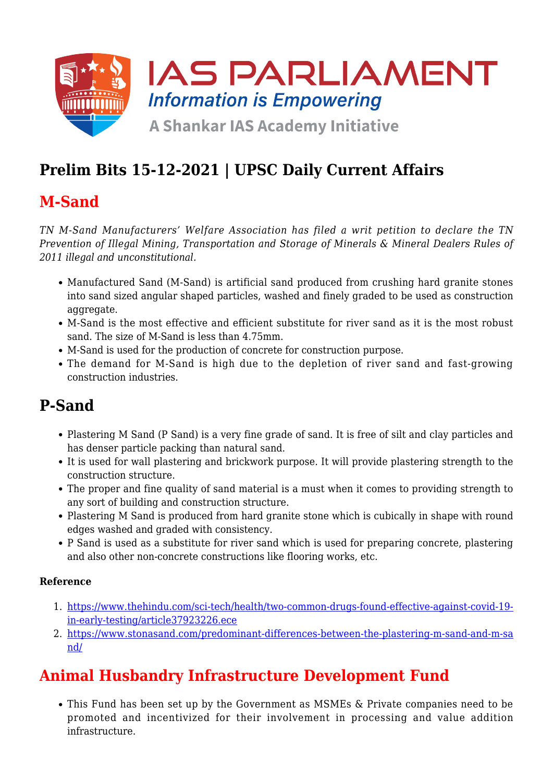

# **Prelim Bits 15-12-2021 | UPSC Daily Current Affairs**

### **M-Sand**

*TN M-Sand Manufacturers' Welfare Association has filed a writ petition to declare the TN Prevention of Illegal Mining, Transportation and Storage of Minerals & Mineral Dealers Rules of 2011 illegal and unconstitutional.*

- Manufactured Sand (M-Sand) is artificial sand produced from crushing hard granite stones into sand sized angular shaped particles, washed and finely graded to be used as construction aggregate.
- M-Sand is the most effective and efficient substitute for river sand as it is the most robust sand. The size of M-Sand is less than 4.75mm.
- M-Sand is used for the production of concrete for construction purpose.
- The demand for M-Sand is high due to the depletion of river sand and fast-growing construction industries.

### **P-Sand**

- Plastering M Sand (P Sand) is a very fine grade of sand. It is free of silt and clay particles and has denser particle packing than natural sand.
- It is used for wall plastering and brickwork purpose. It will provide plastering strength to the construction structure.
- The proper and fine quality of sand material is a must when it comes to providing strength to any sort of building and construction structure.
- Plastering M Sand is produced from hard granite stone which is cubically in shape with round edges washed and graded with consistency.
- P Sand is used as a substitute for river sand which is used for preparing concrete, plastering and also other non-concrete constructions like flooring works, etc.

#### **Reference**

- 1. [https://www.thehindu.com/sci-tech/health/two-common-drugs-found-effective-against-covid-19](https://www.thehindu.com/sci-tech/health/two-common-drugs-found-effective-against-covid-19-in-early-testing/article37923226.ece) [in-early-testing/article37923226.ece](https://www.thehindu.com/sci-tech/health/two-common-drugs-found-effective-against-covid-19-in-early-testing/article37923226.ece)
- 2. [https://www.stonasand.com/predominant-differences-between-the-plastering-m-sand-and-m-sa](https://www.stonasand.com/predominant-differences-between-the-plastering-m-sand-and-m-sand/) [nd/](https://www.stonasand.com/predominant-differences-between-the-plastering-m-sand-and-m-sand/)

### **Animal Husbandry Infrastructure Development Fund**

This Fund has been set up by the Government as MSMEs & Private companies need to be promoted and incentivized for their involvement in processing and value addition infrastructure.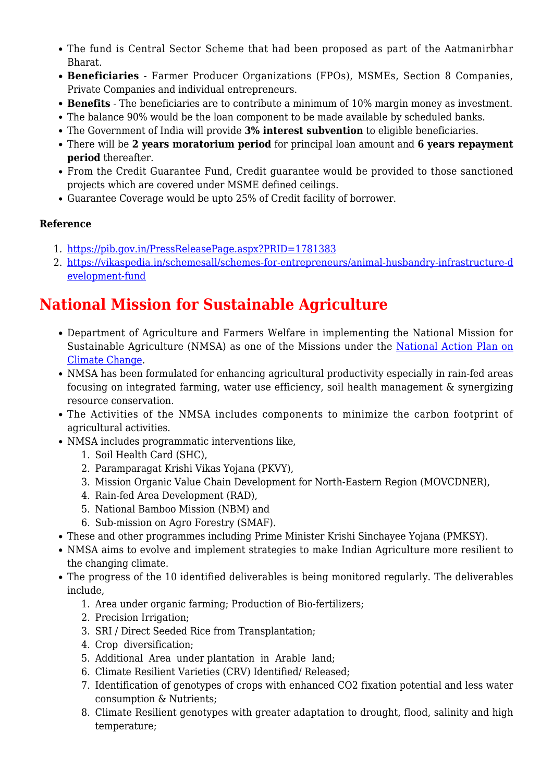- The fund is Central Sector Scheme that had been proposed as part of the Aatmanirbhar Bharat.
- **Beneficiaries** Farmer Producer Organizations (FPOs), MSMEs, Section 8 Companies, Private Companies and individual entrepreneurs.
- **Benefits** The beneficiaries are to contribute a minimum of 10% margin money as investment.
- The balance 90% would be the loan component to be made available by scheduled banks.
- The Government of India will provide **3% interest subvention** to eligible beneficiaries.
- There will be **2 years moratorium period** for principal loan amount and **6 years repayment period** thereafter.
- From the Credit Guarantee Fund, Credit guarantee would be provided to those sanctioned projects which are covered under MSME defined ceilings.
- Guarantee Coverage would be upto 25% of Credit facility of borrower.

#### **Reference**

- 1. <https://pib.gov.in/PressReleasePage.aspx?PRID=1781383>
- 2. [https://vikaspedia.in/schemesall/schemes-for-entrepreneurs/animal-husbandry-infrastructure-d](https://vikaspedia.in/schemesall/schemes-for-entrepreneurs/animal-husbandry-infrastructure-development-fund) [evelopment-fund](https://vikaspedia.in/schemesall/schemes-for-entrepreneurs/animal-husbandry-infrastructure-development-fund)

### **National Mission for Sustainable Agriculture**

- Department of Agriculture and Farmers Welfare in implementing the National Mission for Sustainable Agriculture (NMSA) as one of the Missions under the [National Action Plan on](https://www.iasparliament.com/current-affairs/upsc-daily-current-affairs-prelim-bits-30-05-2020) [Climate Change](https://www.iasparliament.com/current-affairs/upsc-daily-current-affairs-prelim-bits-30-05-2020).
- NMSA has been formulated for enhancing agricultural productivity especially in rain-fed areas focusing on integrated farming, water use efficiency, soil health management & synergizing resource conservation.
- The Activities of the NMSA includes components to minimize the carbon footprint of agricultural activities.
- NMSA includes programmatic interventions like,
	- 1. Soil Health Card (SHC),
	- 2. Paramparagat Krishi Vikas Yojana (PKVY),
	- 3. Mission Organic Value Chain Development for North-Eastern Region (MOVCDNER),
	- 4. Rain-fed Area Development (RAD),
	- 5. National Bamboo Mission (NBM) and
	- 6. Sub-mission on Agro Forestry (SMAF).
- These and other programmes including Prime Minister Krishi Sinchayee Yojana (PMKSY).
- NMSA aims to evolve and implement strategies to make Indian Agriculture more resilient to the changing climate.
- The progress of the 10 identified deliverables is being monitored regularly. The deliverables include,
	- 1. Area under organic farming; Production of Bio-fertilizers;
	- 2. Precision Irrigation;
	- 3. SRI / Direct Seeded Rice from Transplantation;
	- 4. Crop diversification;
	- 5. Additional Area under plantation in Arable land;
	- 6. Climate Resilient Varieties (CRV) Identified/ Released;
	- 7. Identification of genotypes of crops with enhanced CO2 fixation potential and less water consumption & Nutrients;
	- 8. Climate Resilient genotypes with greater adaptation to drought, flood, salinity and high temperature;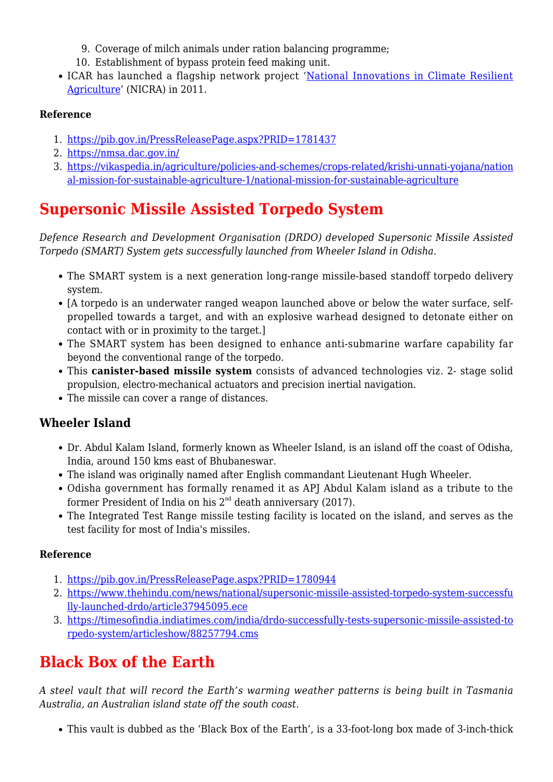- 9. Coverage of milch animals under ration balancing programme;
- 10. Establishment of bypass protein feed making unit.
- ICAR has launched a flagship network project '[National Innovations in Climate Resilient](https://www.iasparliament.com/current-affairs/upsc-daily-current-affairs-prelim-bits-08-07-2021) [Agriculture'](https://www.iasparliament.com/current-affairs/upsc-daily-current-affairs-prelim-bits-08-07-2021) (NICRA) in 2011.

#### **Reference**

- 1. <https://pib.gov.in/PressReleasePage.aspx?PRID=1781437>
- 2. <https://nmsa.dac.gov.in/>
- 3. [https://vikaspedia.in/agriculture/policies-and-schemes/crops-related/krishi-unnati-yojana/nation](https://vikaspedia.in/agriculture/policies-and-schemes/crops-related/krishi-unnati-yojana/national-mission-for-sustainable-agriculture-1/national-mission-for-sustainable-agriculture) [al-mission-for-sustainable-agriculture-1/national-mission-for-sustainable-agriculture](https://vikaspedia.in/agriculture/policies-and-schemes/crops-related/krishi-unnati-yojana/national-mission-for-sustainable-agriculture-1/national-mission-for-sustainable-agriculture)

## **Supersonic Missile Assisted Torpedo System**

*Defence Research and Development Organisation (DRDO) developed Supersonic Missile Assisted Torpedo (SMART) System gets successfully launched from Wheeler Island in Odisha.*

- The SMART system is a next generation long-range missile-based standoff torpedo delivery system.
- [A torpedo is an underwater ranged weapon launched above or below the water surface, selfpropelled towards a target, and with an explosive warhead designed to detonate either on contact with or in proximity to the target.]
- The SMART system has been designed to enhance anti-submarine warfare capability far beyond the conventional range of the torpedo.
- This **canister-based missile system** consists of advanced technologies viz. 2- stage solid propulsion, electro-mechanical actuators and precision inertial navigation.
- The missile can cover a range of distances.

### **Wheeler Island**

- Dr. Abdul Kalam Island, formerly known as Wheeler Island, is an island off the coast of Odisha, India, around 150 kms east of Bhubaneswar.
- The island was originally named after English commandant Lieutenant Hugh Wheeler.
- Odisha government has formally renamed it as APJ Abdul Kalam island as a tribute to the former President of India on his  $2<sup>nd</sup>$  death anniversary (2017).
- The Integrated Test Range missile testing facility is located on the island, and serves as the test facility for most of India's missiles.

### **Reference**

- 1. <https://pib.gov.in/PressReleasePage.aspx?PRID=1780944>
- 2. [https://www.thehindu.com/news/national/supersonic-missile-assisted-torpedo-system-successfu](https://www.thehindu.com/news/national/supersonic-missile-assisted-torpedo-system-successfully-launched-drdo/article37945095.ece) [lly-launched-drdo/article37945095.ece](https://www.thehindu.com/news/national/supersonic-missile-assisted-torpedo-system-successfully-launched-drdo/article37945095.ece)
- 3. [https://timesofindia.indiatimes.com/india/drdo-successfully-tests-supersonic-missile-assisted-to](https://timesofindia.indiatimes.com/india/drdo-successfully-tests-supersonic-missile-assisted-torpedo-system/articleshow/88257794.cms) [rpedo-system/articleshow/88257794.cms](https://timesofindia.indiatimes.com/india/drdo-successfully-tests-supersonic-missile-assisted-torpedo-system/articleshow/88257794.cms)

### **Black Box of the Earth**

*A steel vault that will record the Earth's warming weather patterns is being built in Tasmania Australia, an Australian island state off the south coast.*

This vault is dubbed as the 'Black Box of the Earth', is a 33-foot-long box made of 3-inch-thick